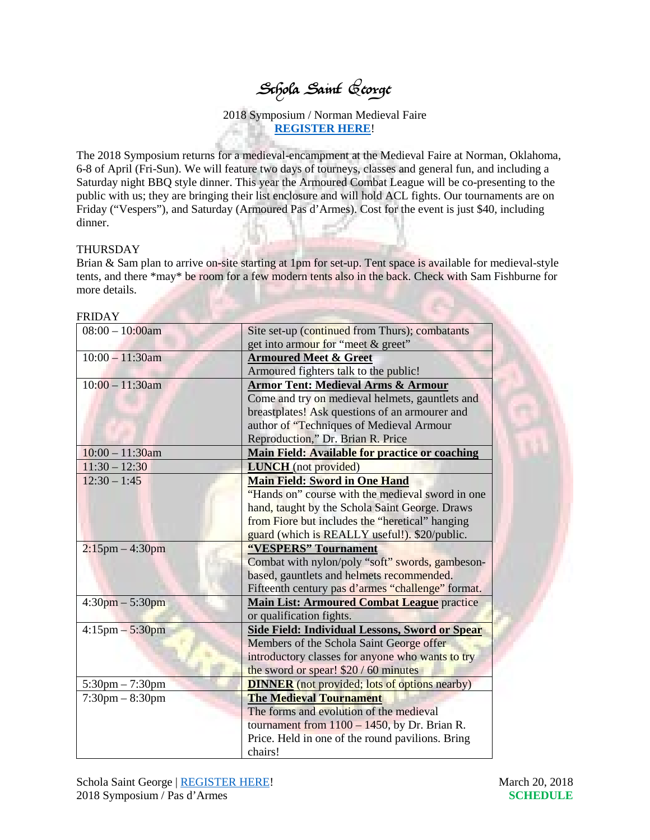## Schola Saint George

2018 Symposium / Norman Medieval Faire **[REGISTER HERE](https://www.scholasaintgeorge.org/events-1/ssg-2018-symposium-tournament-norman-medieval-faire)**!

The 2018 Symposium returns for a medieval-encampment at the Medieval Faire at Norman, Oklahoma, 6-8 of April (Fri-Sun). We will feature two days of tourneys, classes and general fun, and including a Saturday night BBQ style dinner. This year the Armoured Combat League will be co-presenting to the public with us; they are bringing their list enclosure and will hold ACL fights. Our tournaments are on Friday ("Vespers"), and Saturday (Armoured Pas d'Armes). Cost for the event is just \$40, including dinner.

## THURSDAY

FRIDAY

Brian & Sam plan to arrive on-site starting at 1pm for set-up. Tent space is available for medieval-style tents, and there \*may\* be room for a few modern tents also in the back. Check with Sam Fishburne for more details.

| FRIDA Y                           |                                                      |
|-----------------------------------|------------------------------------------------------|
| $08:00 - 10:00$ am                | Site set-up (continued from Thurs); combatants       |
|                                   | get into armour for "meet & greet"                   |
| $10:00 - 11:30$ am                | <b>Armoured Meet &amp; Greet</b>                     |
|                                   | Armoured fighters talk to the public!                |
| $10:00 - 11:30$ am                | <b>Armor Tent: Medieval Arms &amp; Armour</b>        |
|                                   | Come and try on medieval helmets, gauntlets and      |
|                                   | breastplates! Ask questions of an armourer and       |
|                                   | author of "Techniques of Medieval Armour             |
|                                   | Reproduction," Dr. Brian R. Price                    |
| $10:00 - 11:30$ am                | Main Field: Available for practice or coaching       |
| $11:30 - 12:30$                   | <b>LUNCH</b> (not provided)                          |
| $12:30 - 1:45$                    | <b>Main Field: Sword in One Hand</b>                 |
|                                   | "Hands on" course with the medieval sword in one     |
|                                   | hand, taught by the Schola Saint George. Draws       |
|                                   | from Fiore but includes the "heretical" hanging      |
|                                   | guard (which is REALLY useful!). \$20/public.        |
| $2:15$ pm $-4:30$ pm              | "VESPERS" Tournament                                 |
|                                   | Combat with nylon/poly "soft" swords, gambeson-      |
|                                   | based, gauntlets and helmets recommended.            |
|                                   | Fifteenth century pas d'armes "challenge" format.    |
| $4:30 \text{pm} - 5:30 \text{pm}$ | <b>Main List: Armoured Combat League practice</b>    |
|                                   | or qualification fights.                             |
| $4:15$ pm $-5:30$ pm              | Side Field: Individual Lessons, Sword or Spear       |
|                                   | Members of the Schola Saint George offer             |
|                                   | introductory classes for anyone who wants to try     |
|                                   | the sword or spear! \$20 / 60 minutes                |
| $5:30 \text{pm} - 7:30 \text{pm}$ | <b>DINNER</b> (not provided; lots of options nearby) |
| $7:30 \text{pm} - 8:30 \text{pm}$ | <b>The Medieval Tournament</b>                       |
|                                   | The forms and evolution of the medieval              |
|                                   | tournament from $1100 - 1450$ , by Dr. Brian R.      |
|                                   | Price. Held in one of the round pavilions. Bring     |
|                                   | chairs!                                              |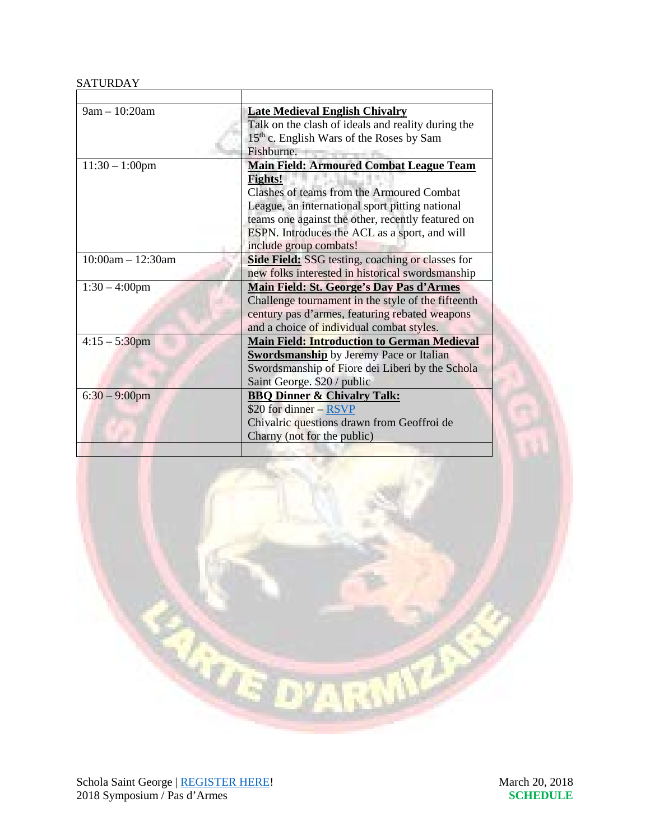## **SATURDAY**

| $9am - 10:20am$     | <b>Late Medieval English Chivalry</b>                   |
|---------------------|---------------------------------------------------------|
|                     | Talk on the clash of ideals and reality during the      |
|                     | 15 <sup>th</sup> c. English Wars of the Roses by Sam    |
|                     | Fishburne.                                              |
| $11:30 - 1:00$ pm   | <b>Main Field: Armoured Combat League Team</b>          |
|                     | <b>Fights!</b>                                          |
|                     | Clashes of teams from the Armoured Combat               |
|                     | League, an international sport pitting national         |
|                     | teams one against the other, recently featured on       |
|                     | ESPN. Introduces the ACL as a sport, and will           |
|                     | include group combats!                                  |
| $10:00am - 12:30am$ | <b>Side Field:</b> SSG testing, coaching or classes for |
|                     | new folks interested in historical swordsmanship        |
| $1:30 - 4:00$ pm    | <b>Main Field: St. George's Day Pas d'Armes</b>         |
|                     | Challenge tournament in the style of the fifteenth      |
|                     | century pas d'armes, featuring rebated weapons          |
|                     | and a choice of individual combat styles.               |
| $4:15 - 5:30$ pm    | <b>Main Field: Introduction to German Medieval</b>      |
|                     | <b>Swordsmanship</b> by Jeremy Pace or Italian          |
|                     | Swordsmanship of Fiore dei Liberi by the Schola         |
|                     | Saint George. \$20 / public                             |
| $6:30 - 9:00$ pm    | <b>BBQ Dinner &amp; Chivalry Talk:</b>                  |
|                     | \$20 for dinner - RSVP                                  |
|                     | Chivalric questions drawn from Geoffroi de              |
|                     | Charny (not for the public)                             |
|                     |                                                         |